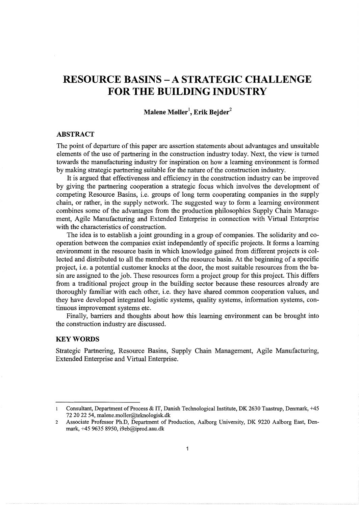# **RESOURCE BASINS- A STRATEGIC CHALLENGE FOR THE BUILDING INDUSTRY**

**Malene Moller<sup>1</sup> , Erik Bejder<sup>2</sup>**

### **ABSTRACT**

The point of departure of this paper are assertion statements about advantages and unsuitable elements of the use of partnering in the construction industry today. Next, the view is turned towards the manufacturing industry for inspiration on how a learning environment is formed by making strategic partnering suitable for the nature of the construction industry.

It is argued that effectiveness and efficiency in the construction industry can be improved by giving the partnering cooperation a strategic focus which involves the development of competing Resource Basins, i.e. groups of long term cooperating companies in the supply chain, or rather, in the supply network. The suggested way to form a learning environment combines some of the advantages from the production philosophies Supply Chain Management, Agile Manufacturing and Extended Enterprise in connection with Virtual Enterprise with the characteristics of construction.

The idea is to establish a joint grounding in a group of companies. The solidarity and cooperation between the companies exist independently of specific projects. It forms a learning environment in the resource basin in which knowledge gained from different projects is collected and distributed to all the members of the resource basin. At the beginning of a specific project, i.e. a potential customer knocks at the door, the most suitable resources from the basin are assigned to the job. These resources form a project group for this project. This differs from a traditional project group in the building sector because these resources already are thoroughly familiar with each other, i.e. they have shared common cooperation values, and they have developed integrated logistic systems, quality systems, information systems, continuous improvement systems etc.

Finally, barriers and thoughts about how this learning environment can be brought into the construction industry are discussed.

#### **KEYWORDS**

Strategic Partnering, Resource Basins, Supply Chain Management, Agile Manufacturing, Extended Enterprise and Virtual Enterprise.

Consultant, Department of Process & IT, Danish Technological Institute, DK 2630 Taastrup, Denmark, +45  $\mathbf{I}$ 72 20 22 54, malene.moller@teknologisk.dk

<sup>2</sup> Associate Professor Ph.D, Department of Production, Aalborg University, DK 9220 Aalborg East, Denmark, +45 9635 8950, i9eb@iprod.aau.dk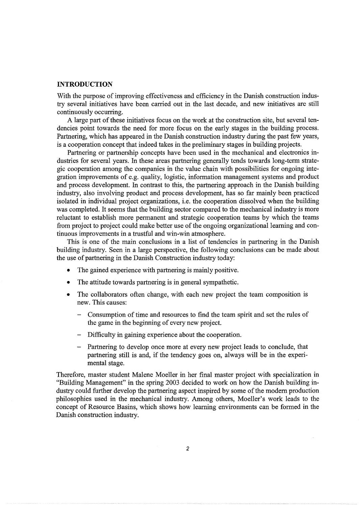# **INTRODUCTION**

With the purpose of improving effectiveness and efficiency in the Danish construction industry several initiatives have been carried out in the last decade, and new initiatives are still continuously occurring.

A large part of these initiatives focus on the work at the construction site, but several tendencies point towards the need for more focus on the early stages in the building process. Partnering, which has appeared in the Danish construction industry during the past few years, is a cooperation concept that indeed takes in the preliminary stages in building projects.

Partnering or partnership concepts have been used in the mechanical and electronics industries for several years. In these areas partnering generally tends towards long-term strategic cooperation among the companies in the value chain with possibilities for ongoing integration improvements of e.g. quality, logistic, information management systems and product and process development. In contrast to this, the partnering approach in the Danish building industry, also involving product and process development, has so far mainly been practiced isolated in individual project organizations, i.e. the cooperation dissolved when the building was completed. It seems that the building sector compared to the mechanical industry is more reluctant to establish more permanent and strategic cooperation teams by which the teams from project to project could make better use of the ongoing organizational learning and continuous improvements in a trustful and win-win atmosphere.

This is one of the main conclusions in a list of tendencies in partnering in the Danish building industry. Seen in a large perspective, the following conclusions can be made about the use of partnering in the Danish Construction industry today:

- The gained experience with partnering is mainly positive.
- The attitude towards partnering is in general sympathetic.
- The collaborators often change, with each new project the team composition is new. This causes:
	- Consumption of time and resources to find the team spirit and set the rules of the game in the beginning of every new project.
	- Difficulty in gaining experience about the cooperation.
	- Partnering to develop once more at every new project leads to conclude, that partnering still is and, if the tendency goes on, always will be in the experimental stage.

Therefore, master student Malene Moeller in her final master project with specialization in "Building Management" in the spring 2003 decided to work on how the Danish building industry could further develop the partnering aspect inspired by some of the modem production philosophies used in the mechanical industry. Among others, Moeller's work leads to the concept of Resource Basins, which shows how learning environments can be formed in the Danish construction industry.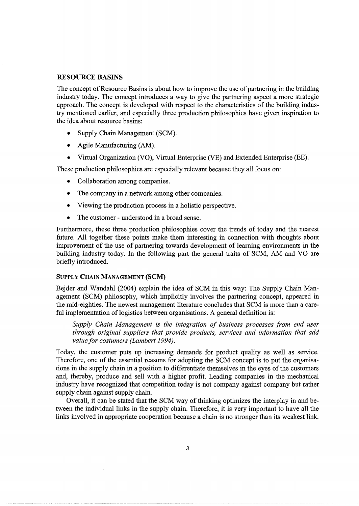### RESOURCE BASINS

The concept of Resource Basins is about how to improve the use of partnering in the building industry today. The concept introduces a way to give the partnering aspect a more strategic approach. The concept is developed with respect to the characteristics of the building industry mentioned earlier, and especially three production philosophies have given inspiration to the idea about resource basins:

- Supply Chain Management (SCM).
- Agile Manufacturing (AM).
- Virtual Organization (VO), Virtual Enterprise (VE) and Extended Enterprise (EE).

These production philosophies are especially relevant because they all focus on:

- Collaboration among companies.
- The company in a network among other companies.
- Viewing the production process in a holistic perspective.
- The customer understood in a broad sense.

Furthermore, these three production philosophies cover the trends of today and the nearest future. All together these points make them interesting in connection with thoughts about improvement of the use of partnering towards development of learning environments in the building industry today. In the following part the general traits of SCM, AM and VO are briefly introduced.

### SUPPLY CHAIN MANAGEMENT {SCM)

Bejder and Wandahl (2004) explain the idea of SCM in this way: The Supply Chain Management (SCM) philosophy, which implicitly involves the partnering concept, appeared in the mid-eighties. The newest management literature concludes that SCM is more than a careful implementation of logistics between organisations. A general definition is:

*Supply Chain Management is the integration of business processes from end user through original suppliers that provide products, services and information that add value for costumers (Lambert 1994).* 

Today, the customer puts up increasing demands for product quality as well as service. Therefore, one of the essential reasons for adopting the SCM concept is to put the organisations in the supply chain in a position to differentiate themselves in the eyes of the customers and, thereby, produce and sell with a higher profit. Leading companies in the mechanical industry have recognized that competition today is not company against company but rather supply chain against supply chain.

Overall, it can be stated that the SCM way of thinking optimizes the interplay in and between the individual links in the supply chain. Therefore, it is very important to have all the links involved in appropriate cooperation because a chain is no stronger than its weakest link.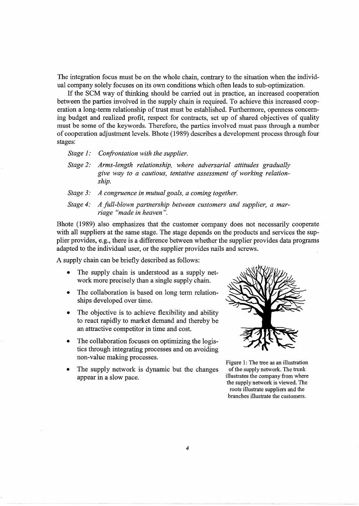The integration focus must be on the whole chain, contrary to the situation when the individual company solely focuses on its own conditions which often leads to sub-optimization.

If the SCM way of thinking should be carried out in practice, an increased cooperation between the parties involved in the supply chain is required. To achieve this increased cooperation a long-term relationship of trust must be established. Furthermore, openness concerning budget and realized profit, respect for contracts, set up of shared objectives of quality must be some of the keywords. Therefore, the parties involved must pass through a number of cooperation adjustment levels. Bhote (1989) describes a development process through four stages:

*Stage 1: Confrontation with the supplier.* 

- *Stage 2: Arms-length relationship, where adversarial attitudes gradually give way to a cautious, tentative assessment of working relationship.*
- *Stage 3: A congruence in mutual goals, a coming together.*

*Stage 4: A full-blown partnership between customers and supplier, a marriage "made in heaven* ".

Bhote (1989) also emphasizes that the customer company does not necessarily cooperate with all suppliers at the same stage. The stage depends on the products and services the supplier provides, e.g., there is a difference between whether the supplier provides data programs adapted to the individual user, or the supplier provides nails and screws.

A supply chain can be briefly described as follows:

- The supply chain is understood as a supply network more precisely than a single supply chain.
- The collaboration is based on long term relationships developed over time.
- The objective is to achieve flexibility and ability to react rapidly to market demand and thereby be an attractive competitor in time and cost.
- The collaboration focuses on optimizing the logistics through integrating processes and on avoiding non-value making processes.
- The supply network is dynamic but the changes appear in a slow pace.



Figure 1: The tree as an illustration of the supply network. The trunk illustrates the company from where the supply network is viewed. The roots illustrate suppliers and the branches illustrate the customers.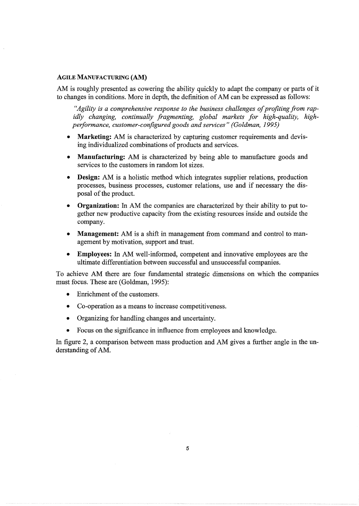# AGILE MANUFACTURING **(AM)**

AM is roughly presented as cowering the ability quickly to adapt the company or parts of it to changes in conditions. More in depth, the definition of AM can be expressed as follows:

*"Agility is a comprehensive response to the business challenges of profiting from rapidly changing, continually fragmenting, global markets for high-quality, highperformance, customer-configured goods and services" (Goldman, 1995)* 

- **Marketing:** AM is characterized by capturing customer requirements and devising individualized combinations of products and services.
- **Manufacturing:** AM is characterized by being able to manufacture goods and services to the customers in random lot sizes.
- **Design:** AM is a holistic method which integrates supplier relations, production processes, business processes, customer relations, use and if necessary the disposal of the product.
- **Organization:** In AM the companies are characterized by their ability to put together new productive capacity from the existing resources inside and outside the company.
- **Management:** AM is a shift in management from command and control to management by motivation, support and trust.
- **Employees:** In AM well-informed, competent and innovative employees are the ultimate differentiation between successful and unsuccessful companies.

To achieve AM there are four fundamental strategic dimensions on which the companies must focus. These are (Goldman, 1995):

- Enrichment of the customers.
- Co-operation as a means to increase competitiveness.
- Organizing for handling changes and uncertainty.
- Focus on the significance in influence from employees and knowledge.

In figure 2, a comparison between mass production and AM gives a further angle in the understanding of AM.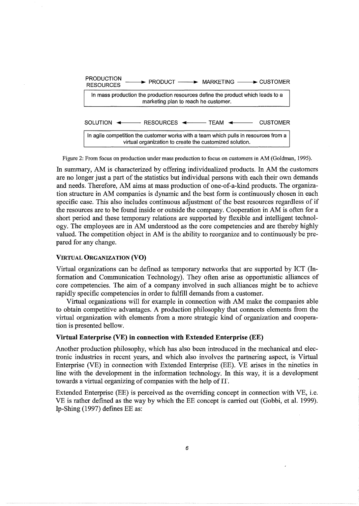

Figure 2: From focus on production under mass production to focus on customers in AM (Goldman, 1995).

In summary, AM is characterized by offering individualized products. In AM the customers are no longer just a part of the statistics but individual persons with each their own demands and needs. Therefore, AM aims at mass production of one-of-a-kind products. The organization structure in AM companies is dynamic and the best form is continuously chosen in each specific case. This also includes continuous adjustment of the best resources regardless of if the resources are to be found inside or outside the company. Cooperation in AM is often for a short period and these temporary relations are supported by flexible and intelligent technology. The employees are in AM understood as the core competencies and are thereby highly valued. The competition object in AM is the ability to reorganize and to continuously be prepared for any change.

### VIRTUAL ORGANIZATION **(VO)**

Virtual organizations can be defined as temporary networks that are supported by ICT (Information and Communication Technology). They often arise as opportunistic alliances of core competencies. The aim of a company involved in such alliances might be to achieve rapidly specific competencies in order to fulfill demands from a customer.

Virtual organizations will for example in connection with AM make the companies able to obtain competitive advantages. A production philosophy that connects elements from the virtual organization with elements from a more strategic kind of organization and cooperation is presented bellow.

### **Virtual Enterprise** (VE) **in connection with Extended Enterprise (EE)**

Another production philosophy, which has also been introduced in the mechanical and electronic industries in recent years, and which also involves the partnering aspect, is Virtual Enterprise (VE) in connection with Extended Enterprise (EE). VE arises in the nineties in line with the development in the information technology. In this way, it is a development towards a virtual organizing of companies with the help of IT.

Extended Enterprise (EE) is perceived as the overriding concept in connection with VE, i.e. VE is rather defined as the way by which the EE concept is carried out (Gobbi, et al. 1999). Ip-Shing (1997) defines EE as: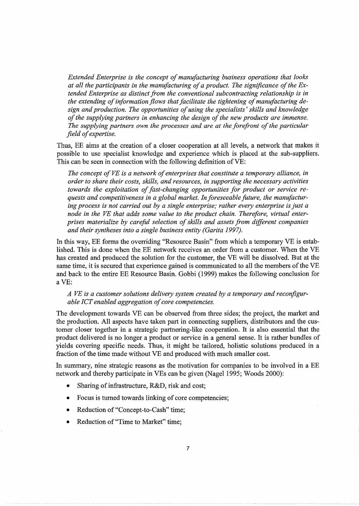*Extended Enterprise is the concept of manufacturing business operations that looks at all the participants in the manufacturing of a product. The significance of the Extended Enterprise as distinct from the conventional subcontracting relationship is in the extending of information flows that facilitate the tightening of manufacturing design and production. The opportunities of using the specialists' skills and knowledge of the supplying partners in enhancing the design of the new products are immense. The supplying partners own the processes and are at the forefront of the particular field of expertise.* 

Thus, EE aims at the creation of a closer cooperation at all levels, a network that makes it possible to use specialist knowledge and experience which is placed at the sub-suppliers. This can be seen in connection with the following definition of VE:

*The concept of VE is a network of enterprises that constitute a temporary alliance, in order to share their costs, skills, and resources, in supporting the necessary activities towards the exploitation of fast-changing opportunities for product or service requests and competitiveness in a global market. In foreseeable future, the manufacturing process is not carried out by a single enterprise; rather every enterprise is just a node in the VE that adds some value to the product chain. Therefore, virtual enterprises materialize by careful selection of skills and assets from different companies and their syntheses into a single business entity (Garita 1997).* 

In this way, EE forms the overriding "Resource Basin" from which a temporary VE is established. This is done when the EE network receives an order from a customer. When the VE has created and produced the solution for the customer, the VE will be dissolved. But at the same time, it is secured that experience gained is communicated to all the members of the VE and back to the entire EE Resource Basin. Gobbi (1999) makes the following conclusion for aVE:

# *A VE is a customer solutions delivery system created by a temporary and reconfigurable ICT enabled aggregation of core competencies.*

The development towards VE can be observed from three sides; the project, the market and the production. All aspects have taken part in connecting suppliers, distributors and the customer closer together in a strategic partnering-like cooperation. It is also essential that the product delivered is no longer a product or service in a general sense. It is rather bundles of yields covering specific needs. Thus, it might be tailored, holistic solutions produced in a fraction of the time made without VE and produced with much smaller cost.

In summary, nine strategic reasons as the motivation for companies to be involved in a EE network and thereby participate in VEs can be given (Nagel 1995; Woods 2000):

- Sharing of infrastructure, R&D, risk and cost;
- Focus is turned towards linking of core competencies;
- Reduction of "Concept-to-Cash" time;
- Reduction of "Time to Market" time;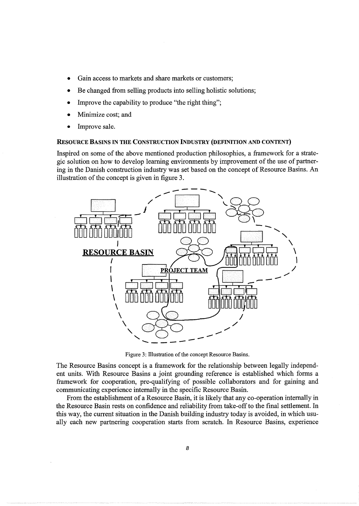- Gain access to markets and share markets or customers;
- Be changed from selling products into selling holistic solutions;
- Improve the capability to produce "the right thing";
- Minimize cost; and
- Improve sale.

### RESOURCE BASINS IN THE CONSTRUCTION INDUSTRY (DEFINITION AND CONTENT)

Inspired on some of the above mentioned production philosophies, a framework for a strategic solution on how to develop learning environments by improvement of the use of partnering in the Danish construction industry was set based on the concept of Resource Basins. An illustration of the concept is given in figure 3.



Figure 3: Illustration of the concept Resource Basins.

The Resource Basins concept is a framework for the relationship between legally independent units. With Resource Basins a joint grounding reference is established which forms a framework for cooperation, pre-qualifying of possible collaborators and for gaining and communicating experience internally in the specific Resource Basin.

From the establishment of a Resource Basin, it is likely that any co-operation internally in the Resource Basin rests on confidence and reliability from take-off to the final settlement. In this way, the current situation in the Danish building industry today is avoided, in which usually each new partnering cooperation starts from scratch. In Resource Basins, experience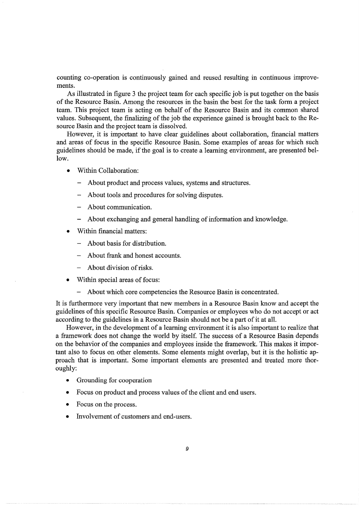counting co-operation is continuously gained and reused resulting in continuous improvements.

As illustrated in figure 3 the project team for each specific job is put together on the basis of the Resource Basin. Among the resources in the basin the best for the task form a project team. This project team is acting on behalf of the Resource Basin and its common shared values. Subsequent, the finalizing of the job the experience gained is brought back to the Resource Basin and the project team is dissolved.

However, it is important to have clear guidelines about collaboration, financial matters and areas of focus in the specific Resource Basin. Some examples of areas for which such guidelines should be made, if the goal is to create a learning environment, are presented bellow.

- Within Collaboration:
	- About product and process values, systems and structures.
	- About tools and procedures for solving disputes.
	- About communication.
	- About exchanging and general handling of information and knowledge.
- Within financial matters:
	- About basis for distribution.
	- About frank and honest accounts.
	- About division of risks.
- Within special areas of focus:
	- About which core competencies the Resource Basin is concentrated.

It is furthermore very important that new members in a Resource Basin know and accept the guidelines of this specific Resource Basin. Companies or employees who do not accept or act according to the guidelines in a Resource Basin should not be a part of it at all.

However, in the development of a learning environment it is also important to realize that a framework does not change the world by itself. The success of a Resource Basin depends on the behavior of the companies and employees inside the framework. This makes it important also to focus on other elements. Some elements might overlap, but it is the holistic approach that is important. Some important elements are presented and treated more thoroughly:

- Grounding for cooperation
- Focus on product and process values of the client and end users.
- Focus on the process.
- Involvement of customers and end-users.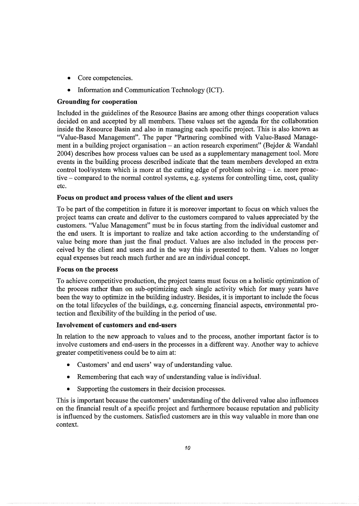- Core competencies.
- Information and Communication Technology (ICT).

# **Grounding for cooperation**

Included in the guidelines of the Resource Basins are among other things cooperation values decided on and accepted by all members. These values set the agenda for the collaboration inside the Resource Basin and also in managing each specific project. This is also known as "Value-Based Management". The paper "Partnering combined with Value-Based Management in a building project organisation – an action research experiment" (Bejder & Wandahl 2004) describes how process values can be used as a supplementary management tool. More events in the building process described indicate that the team members developed an extra control tool/system which is more at the cutting edge of problem solving  $-$  i.e. more proactive - compared to the normal control systems, e.g. systems for controlling time, cost, quality etc.

# **Focus on product and process values of the client and users**

To be part of the competition in future it is moreover important to focus on which values the project teams can create and deliver to the customers compared to values appreciated by the customers. "Value Management" must be in focus starting from the individual customer and the end users. It is important to realize and take action according to the understanding of value being more than just the final product. Values are also included in the process perceived by the client and users and in the way this is presented to them. Values no longer equal expenses but reach much further and are an individual concept.

# **Focus on the process**

To achieve competitive production, the project teams must focus on a holistic optimization of the process rather than on sub-optimizing each single activity which for many years have been the way to optimize in the building industry. Besides, it is important to include the focus on the total lifecycles of the buildings, e.g. concerning financial aspects, environmental protection and flexibility of the building in the period of use.

# **Involvement of customers and end-users**

In relation to the new approach to values and to the process, another important factor is to involve customers and end-users in the processes in a different way. Another way to achieve greater competitiveness could be to aim at:

- Customers' and end users' way of understanding value.
- Remembering that each way of understanding value is individual.
- Supporting the customers in their decision processes.

This is important because the customers' understanding of the delivered value also influences on the financial result of a specific project and furthermore because reputation and publicity is influenced by the customers. Satisfied customers are in this way valuable in more than one context.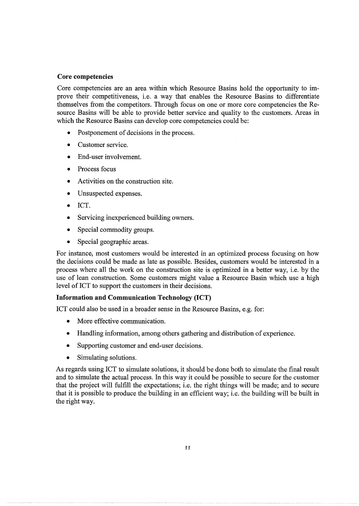### **Core competencies**

Core competencies are an area within which Resource Basins hold the opportunity to improve their competitiveness, i.e. a way that enables the Resource Basins to differentiate themselves from the competitors. Through focus on one or more core competencies the Resource Basins will be able to provide better service and quality to the customers. Areas in which the Resource Basins can develop core competencies could be:

- Postponement of decisions in the process.
- Customer service.
- End-user involvement.
- Process focus
- Activities on the construction site.
- Unsuspected expenses.
- ICT.
- Servicing inexperienced building owners.
- Special commodity groups.
- Special geographic areas.

For instance, most customers would be interested in an optimized process focusing on how the decisions could be made as late as possible. Besides, customers would be interested in a process where all the work on the construction site is optimized in a better way, i.e. by the use of lean construction. Some customers might value a Resource Basin which use a high level of ICT to support the customers in their decisions.

# **Information and Communication Technology (ICT)**

ICT could also be used in a broader sense in the Resource Basins, e.g. for:

- More effective communication.
- Handling information, among others gathering and distribution of experience.
- Supporting customer and end-user decisions.
- Simulating solutions.

As regards using ICT to simulate solutions, it should be done both to simulate the final result and to simulate the actual process. In this way it could be possible to secure for the customer that the project will fulfill the expectations; i.e. the right things will be made; and to secure that it is possible to produce the building in an efficient way; i.e. the building will be built in the right way.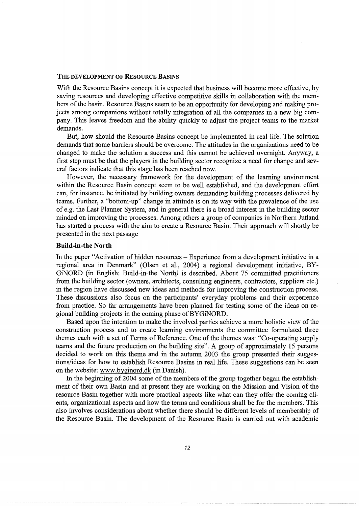#### THE DEVELOPMENT OF RESOURCE BASINS

With the Resource Basins concept it is expected that business will become more effective, by saving resources and developing effective competitive skills in collaboration with the members of the basin. Resource Basins seem to be an opportunity for developing and making projects among companions without totally integration of all the companies in a new big company. This leaves freedom and the ability quickly to adjust the project teams to the market demands.

But, how should the Resource Basins concept be implemented in real life. The solution demands that some barriers should be overcome. The attitudes in the organizations need to be changed to make the solution a success and this cannot be achieved overnight. Anyway, a first step must be that the players in the building sector recognize a need for change and several factors indicate that this stage has been reached now.

However, the necessary framework for the development of the learning environment within the Resource Basin concept seem to be well established, and the development effort can, for instance, be initiated by building owners demanding building processes delivered by teams. Further, a "bottom-up" change in attitude is on its way with the prevalence of the use of e.g. the Last Planner System, and in general there is a broad interest in the building sector minded on improving the processes. Among others a group of companies in Northern Jutland has started a process with the aim to create a Resource Basin. Their approach will shortly be presented in the next passage

#### **Build-in-the North**

In the paper "Activation of hidden resources – Experience from a development initiative in a regional area in Denmark" (Olsen et al., 2004) a regional development initiative, BY-GiNORD (in English: Build-in-the North) is described. About 75 committed practitioners from the building sector (owners, architects, consulting engineers, contractors, suppliers etc.) in the region have discussed new ideas and methods for improving the construction process. These discussions also focus on the participants' everyday problems and their experience from practice. So far arrangements have been planned for testing some of the ideas on regional building projects in the coming phase of BYGiNORD.

Based upon the intention to make the involved parties achieve a more holistic view of the construction process and to create learning environments the committee formulated three themes each with a set of Terms of Reference. One of the themes was: "Co-operating supply teams and the future production on the building site". A group of approximately 15 persons decided to work on this theme and in the autumn 2003 the group presented their suggestions/ideas for how to establish Resource Basins in real life. These suggestions can be seen on the website: www.byginord.dk (in Danish).

In the beginning of 2004 some of the members of the group together began the establishment of their own Basin and at present they are working on the Mission and Vision of the resource Basin together with more practical aspects like what can they offer the coming clients, organizational aspects and how the terms and conditions shall be for the members. This also involves considerations about whether there should be different levels of membership of the Resource Basin. The development of the Resource Basin is carried out with academic